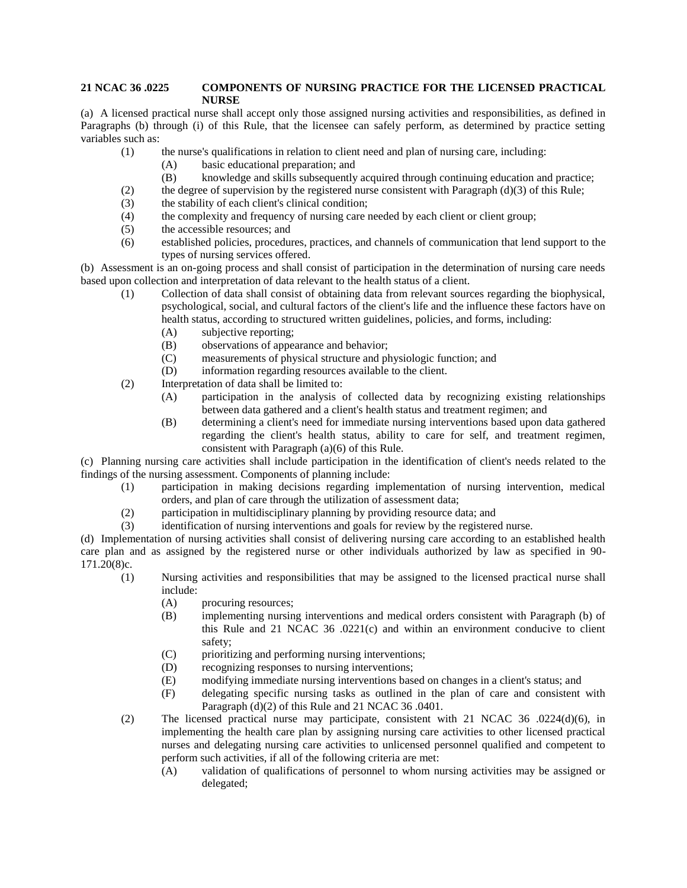## **21 NCAC 36 .0225 COMPONENTS OF NURSING PRACTICE FOR THE LICENSED PRACTICAL NURSE**

(a) A licensed practical nurse shall accept only those assigned nursing activities and responsibilities, as defined in Paragraphs (b) through (i) of this Rule, that the licensee can safely perform, as determined by practice setting variables such as:

- (1) the nurse's qualifications in relation to client need and plan of nursing care, including:
	- (A) basic educational preparation; and
	- (B) knowledge and skills subsequently acquired through continuing education and practice;
- (2) the degree of supervision by the registered nurse consistent with Paragraph  $(d)(3)$  of this Rule;
- (3) the stability of each client's clinical condition;
- (4) the complexity and frequency of nursing care needed by each client or client group;
- (5) the accessible resources; and
- (6) established policies, procedures, practices, and channels of communication that lend support to the types of nursing services offered.

(b) Assessment is an on-going process and shall consist of participation in the determination of nursing care needs based upon collection and interpretation of data relevant to the health status of a client.

- (1) Collection of data shall consist of obtaining data from relevant sources regarding the biophysical, psychological, social, and cultural factors of the client's life and the influence these factors have on health status, according to structured written guidelines, policies, and forms, including:
	- (A) subjective reporting;
	- (B) observations of appearance and behavior;
	- (C) measurements of physical structure and physiologic function; and
	- (D) information regarding resources available to the client.
- (2) Interpretation of data shall be limited to:
	- (A) participation in the analysis of collected data by recognizing existing relationships between data gathered and a client's health status and treatment regimen; and
	- (B) determining a client's need for immediate nursing interventions based upon data gathered regarding the client's health status, ability to care for self, and treatment regimen, consistent with Paragraph (a)(6) of this Rule.

(c) Planning nursing care activities shall include participation in the identification of client's needs related to the findings of the nursing assessment. Components of planning include:

- (1) participation in making decisions regarding implementation of nursing intervention, medical orders, and plan of care through the utilization of assessment data;
- (2) participation in multidisciplinary planning by providing resource data; and
- (3) identification of nursing interventions and goals for review by the registered nurse.

(d) Implementation of nursing activities shall consist of delivering nursing care according to an established health care plan and as assigned by the registered nurse or other individuals authorized by law as specified in 90- 171.20(8)c.

- (1) Nursing activities and responsibilities that may be assigned to the licensed practical nurse shall include:
	- (A) procuring resources;
	- (B) implementing nursing interventions and medical orders consistent with Paragraph (b) of this Rule and 21 NCAC 36 .0221(c) and within an environment conducive to client safety;
	- (C) prioritizing and performing nursing interventions;
	- (D) recognizing responses to nursing interventions;
	- (E) modifying immediate nursing interventions based on changes in a client's status; and
	- (F) delegating specific nursing tasks as outlined in the plan of care and consistent with Paragraph (d)(2) of this Rule and 21 NCAC 36 .0401.
- (2) The licensed practical nurse may participate, consistent with 21 NCAC 36 .0224(d)(6), in implementing the health care plan by assigning nursing care activities to other licensed practical nurses and delegating nursing care activities to unlicensed personnel qualified and competent to perform such activities, if all of the following criteria are met:
	- (A) validation of qualifications of personnel to whom nursing activities may be assigned or delegated;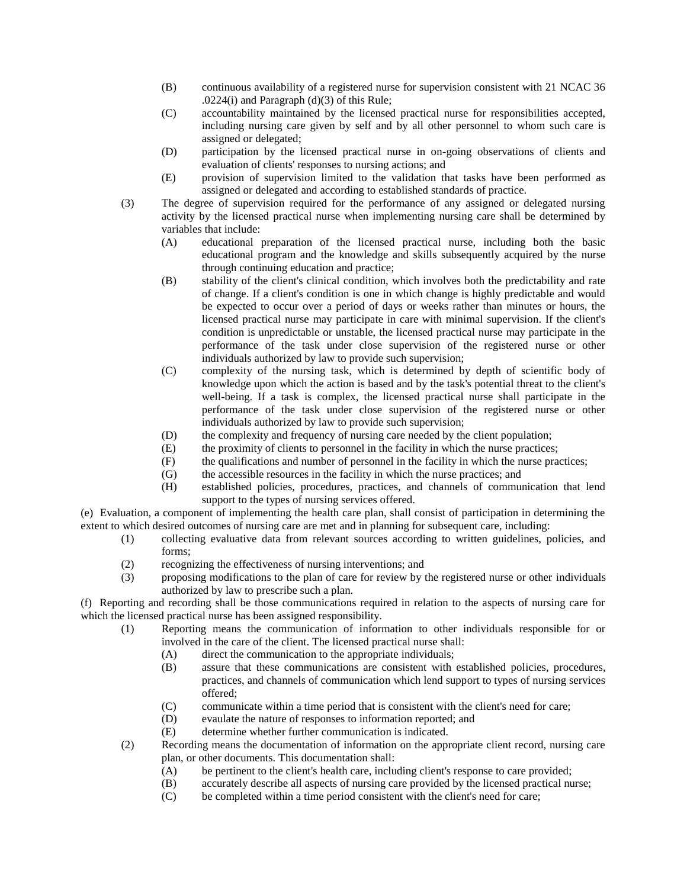- (B) continuous availability of a registered nurse for supervision consistent with 21 NCAC 36 .0224(i) and Paragraph (d)(3) of this Rule;
- (C) accountability maintained by the licensed practical nurse for responsibilities accepted, including nursing care given by self and by all other personnel to whom such care is assigned or delegated;
- (D) participation by the licensed practical nurse in on-going observations of clients and evaluation of clients' responses to nursing actions; and
- (E) provision of supervision limited to the validation that tasks have been performed as assigned or delegated and according to established standards of practice.
- (3) The degree of supervision required for the performance of any assigned or delegated nursing activity by the licensed practical nurse when implementing nursing care shall be determined by variables that include:
	- (A) educational preparation of the licensed practical nurse, including both the basic educational program and the knowledge and skills subsequently acquired by the nurse through continuing education and practice;
	- (B) stability of the client's clinical condition, which involves both the predictability and rate of change. If a client's condition is one in which change is highly predictable and would be expected to occur over a period of days or weeks rather than minutes or hours, the licensed practical nurse may participate in care with minimal supervision. If the client's condition is unpredictable or unstable, the licensed practical nurse may participate in the performance of the task under close supervision of the registered nurse or other individuals authorized by law to provide such supervision;
	- (C) complexity of the nursing task, which is determined by depth of scientific body of knowledge upon which the action is based and by the task's potential threat to the client's well-being. If a task is complex, the licensed practical nurse shall participate in the performance of the task under close supervision of the registered nurse or other individuals authorized by law to provide such supervision;
	- (D) the complexity and frequency of nursing care needed by the client population;
	- (E) the proximity of clients to personnel in the facility in which the nurse practices;
	- (F) the qualifications and number of personnel in the facility in which the nurse practices;
	- (G) the accessible resources in the facility in which the nurse practices; and
	- (H) established policies, procedures, practices, and channels of communication that lend support to the types of nursing services offered.

(e) Evaluation, a component of implementing the health care plan, shall consist of participation in determining the extent to which desired outcomes of nursing care are met and in planning for subsequent care, including:

- (1) collecting evaluative data from relevant sources according to written guidelines, policies, and forms;
- (2) recognizing the effectiveness of nursing interventions; and
- (3) proposing modifications to the plan of care for review by the registered nurse or other individuals authorized by law to prescribe such a plan.

(f) Reporting and recording shall be those communications required in relation to the aspects of nursing care for which the licensed practical nurse has been assigned responsibility.

- (1) Reporting means the communication of information to other individuals responsible for or involved in the care of the client. The licensed practical nurse shall:
	- (A) direct the communication to the appropriate individuals;
	- (B) assure that these communications are consistent with established policies, procedures, practices, and channels of communication which lend support to types of nursing services offered;
	- (C) communicate within a time period that is consistent with the client's need for care;
	- (D) evaulate the nature of responses to information reported; and
	- (E) determine whether further communication is indicated.
- (2) Recording means the documentation of information on the appropriate client record, nursing care plan, or other documents. This documentation shall:
	- (A) be pertinent to the client's health care, including client's response to care provided;
	- (B) accurately describe all aspects of nursing care provided by the licensed practical nurse;
	- (C) be completed within a time period consistent with the client's need for care;